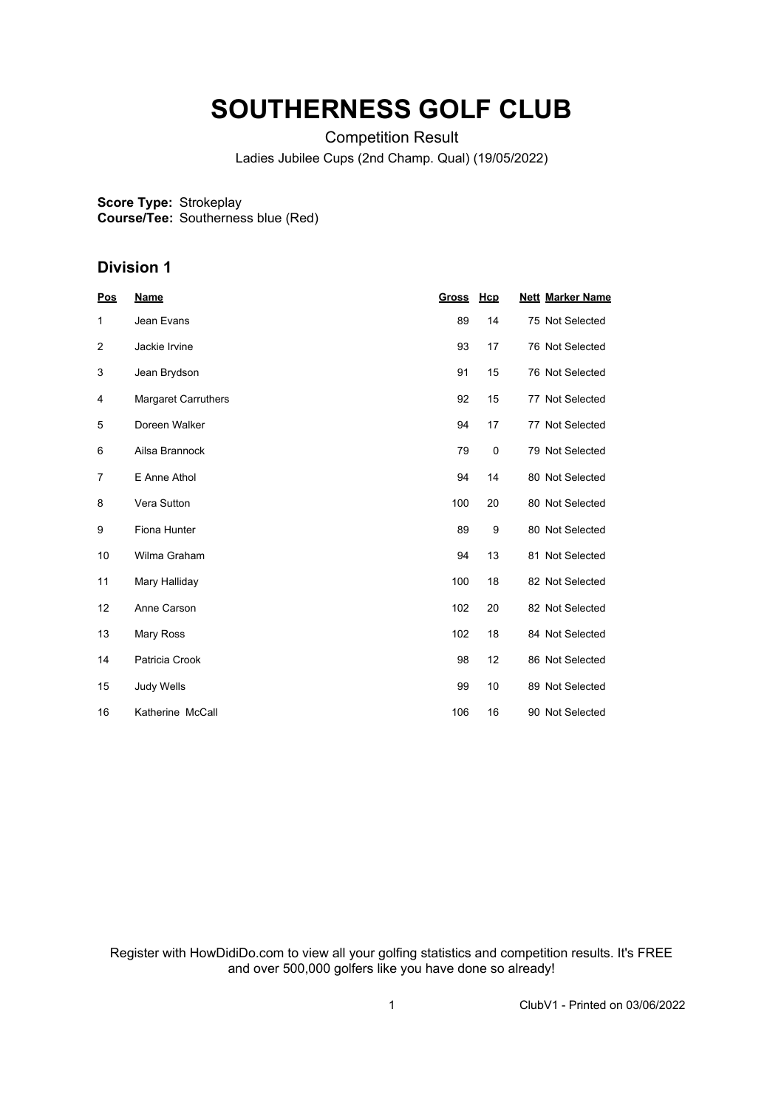## **SOUTHERNESS GOLF CLUB**

Competition Result Ladies Jubilee Cups (2nd Champ. Qual) (19/05/2022)

**Score Type: Course/Tee:** Strokeplay Southerness blue (Red)

## **Division 1**

| Pos | <b>Name</b>         | <b>Gross</b> | Hcp | <b>Nett Marker Name</b> |
|-----|---------------------|--------------|-----|-------------------------|
| 1   | Jean Evans          | 89           | 14  | 75 Not Selected         |
| 2   | Jackie Irvine       | 93           | 17  | 76 Not Selected         |
| 3   | Jean Brydson        | 91           | 15  | 76 Not Selected         |
| 4   | Margaret Carruthers | 92           | 15  | 77 Not Selected         |
| 5   | Doreen Walker       | 94           | 17  | 77 Not Selected         |
| 6   | Ailsa Brannock      | 79           | 0   | 79 Not Selected         |
| 7   | E Anne Athol        | 94           | 14  | 80 Not Selected         |
| 8   | Vera Sutton         | 100          | 20  | 80 Not Selected         |
| 9   | Fiona Hunter        | 89           | 9   | 80 Not Selected         |
| 10  | Wilma Graham        | 94           | 13  | 81 Not Selected         |
| 11  | Mary Halliday       | 100          | 18  | 82 Not Selected         |
| 12  | Anne Carson         | 102          | 20  | 82 Not Selected         |
| 13  | Mary Ross           | 102          | 18  | 84 Not Selected         |
| 14  | Patricia Crook      | 98           | 12  | 86 Not Selected         |
| 15  | <b>Judy Wells</b>   | 99           | 10  | 89 Not Selected         |
| 16  | Katherine McCall    | 106          | 16  | 90 Not Selected         |

Register with HowDidiDo.com to view all your golfing statistics and competition results. It's FREE and over 500,000 golfers like you have done so already!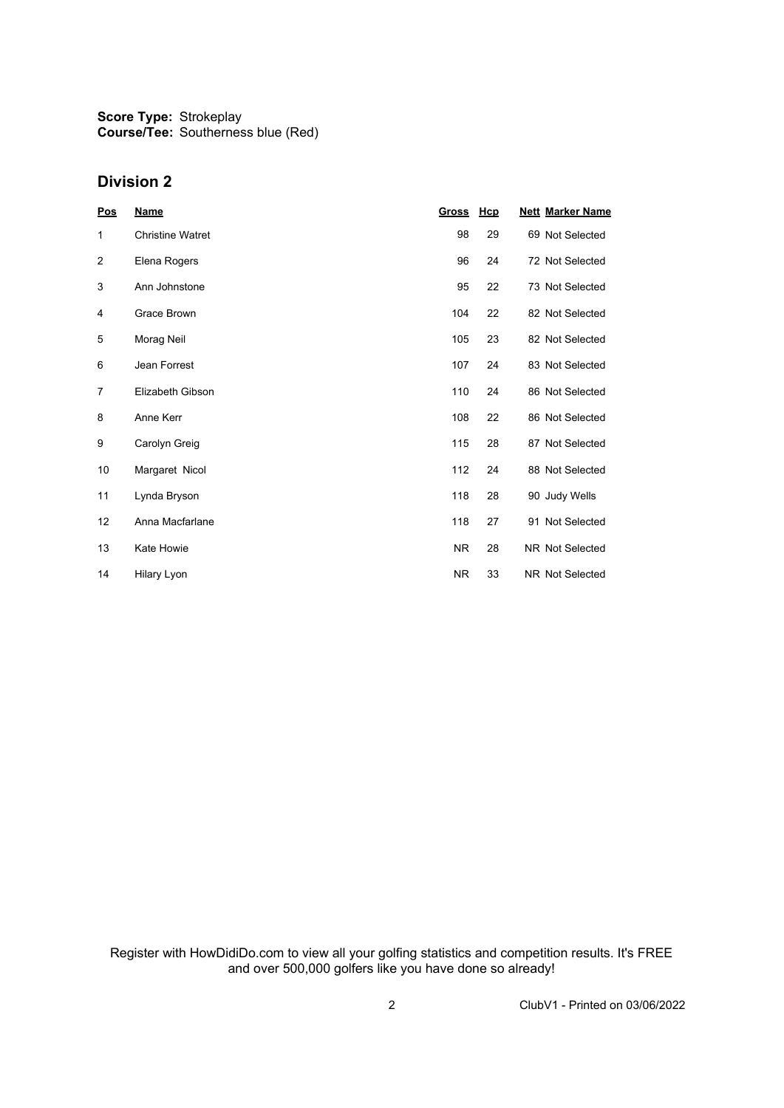**Score Type: Course/Tee:** Strokeplay Southerness blue (Red)

## **Division 2**

| Pos            | <b>Name</b>             | <b>Gross</b> | Hcp | <b>Nett Marker Name</b> |
|----------------|-------------------------|--------------|-----|-------------------------|
| 1              | <b>Christine Watret</b> | 98           | 29  | 69 Not Selected         |
| 2              | Elena Rogers            | 96           | 24  | 72 Not Selected         |
| 3              | Ann Johnstone           | 95           | 22  | 73 Not Selected         |
| 4              | Grace Brown             | 104          | 22  | 82 Not Selected         |
| 5              | Morag Neil              | 105          | 23  | 82 Not Selected         |
| 6              | Jean Forrest            | 107          | 24  | 83 Not Selected         |
| $\overline{7}$ | <b>Elizabeth Gibson</b> | 110          | 24  | 86 Not Selected         |
| 8              | Anne Kerr               | 108          | 22  | 86 Not Selected         |
| 9              | Carolyn Greig           | 115          | 28  | 87 Not Selected         |
| 10             | Margaret Nicol          | 112          | 24  | 88 Not Selected         |
| 11             | Lynda Bryson            | 118          | 28  | 90 Judy Wells           |
| 12             | Anna Macfarlane         | 118          | 27  | 91 Not Selected         |
| 13             | Kate Howie              | <b>NR</b>    | 28  | <b>NR Not Selected</b>  |
| 14             | Hilary Lyon             | <b>NR</b>    | 33  | <b>NR Not Selected</b>  |

Register with HowDidiDo.com to view all your golfing statistics and competition results. It's FREE and over 500,000 golfers like you have done so already!